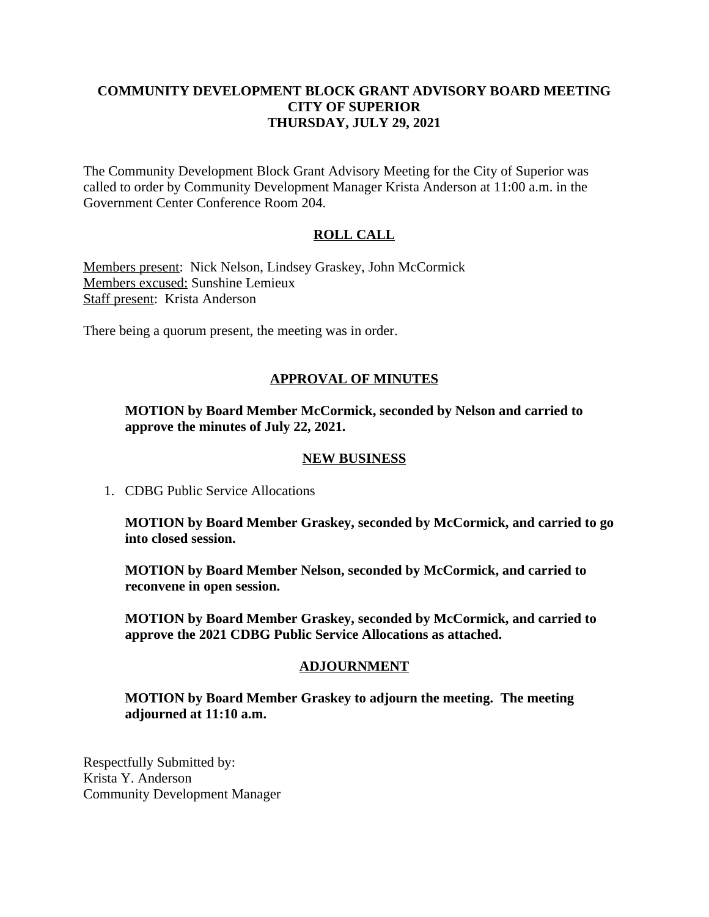### **COMMUNITY DEVELOPMENT BLOCK GRANT ADVISORY BOARD MEETING CITY OF SUPERIOR THURSDAY, JULY 29, 2021**

The Community Development Block Grant Advisory Meeting for the City of Superior was called to order by Community Development Manager Krista Anderson at 11:00 a.m. in the Government Center Conference Room 204.

## **ROLL CALL**

Members present: Nick Nelson, Lindsey Graskey, John McCormick Members excused: Sunshine Lemieux Staff present: Krista Anderson

There being a quorum present, the meeting was in order.

## **APPROVAL OF MINUTES**

**MOTION by Board Member McCormick, seconded by Nelson and carried to approve the minutes of July 22, 2021.**

#### **NEW BUSINESS**

1. CDBG Public Service Allocations

**MOTION by Board Member Graskey, seconded by McCormick, and carried to go into closed session.**

**MOTION by Board Member Nelson, seconded by McCormick, and carried to reconvene in open session.**

**MOTION by Board Member Graskey, seconded by McCormick, and carried to approve the 2021 CDBG Public Service Allocations as attached.**

#### **ADJOURNMENT**

**MOTION by Board Member Graskey to adjourn the meeting. The meeting adjourned at 11:10 a.m.**

Respectfully Submitted by: Krista Y. Anderson Community Development Manager